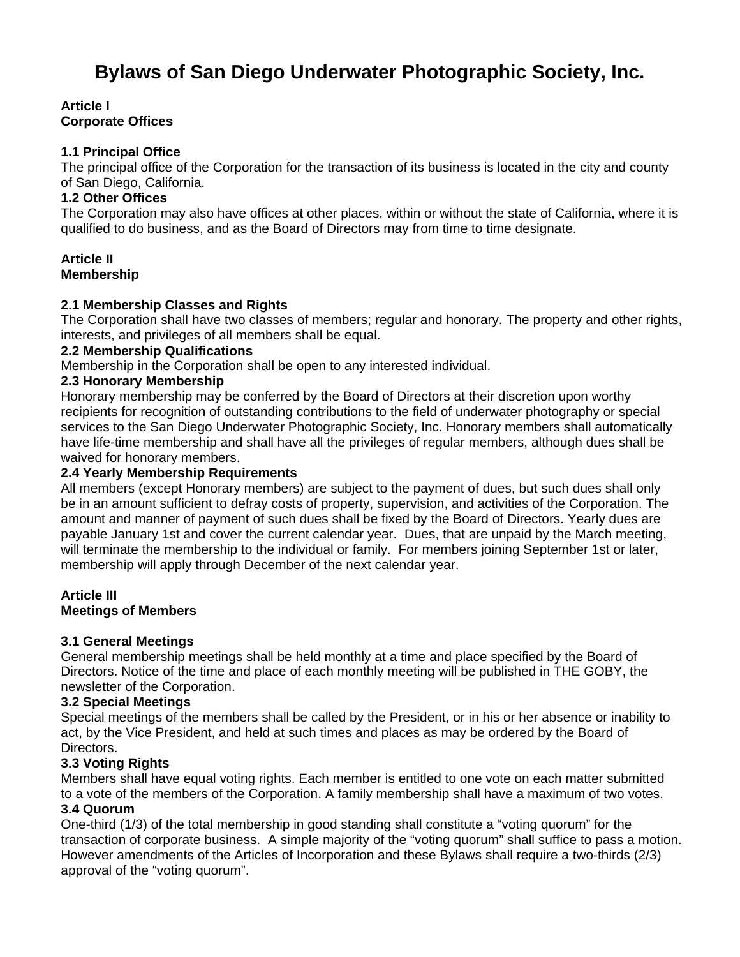# **Bylaws of San Diego Underwater Photographic Society, Inc.**

## **Article I Corporate Offices**

## **1.1 Principal Office**

The principal office of the Corporation for the transaction of its business is located in the city and county of San Diego, California.

# **1.2 Other Offices**

The Corporation may also have offices at other places, within or without the state of California, where it is qualified to do business, and as the Board of Directors may from time to time designate.

#### **Article II Membership**

## **2.1 Membership Classes and Rights**

The Corporation shall have two classes of members; regular and honorary. The property and other rights, interests, and privileges of all members shall be equal.

## **2.2 Membership Qualifications**

Membership in the Corporation shall be open to any interested individual.

## **2.3 Honorary Membership**

Honorary membership may be conferred by the Board of Directors at their discretion upon worthy recipients for recognition of outstanding contributions to the field of underwater photography or special services to the San Diego Underwater Photographic Society, Inc. Honorary members shall automatically have life-time membership and shall have all the privileges of regular members, although dues shall be waived for honorary members.

#### **2.4 Yearly Membership Requirements**

All members (except Honorary members) are subject to the payment of dues, but such dues shall only be in an amount sufficient to defray costs of property, supervision, and activities of the Corporation. The amount and manner of payment of such dues shall be fixed by the Board of Directors. Yearly dues are payable January 1st and cover the current calendar year. Dues, that are unpaid by the March meeting, will terminate the membership to the individual or family. For members joining September 1st or later, membership will apply through December of the next calendar year.

#### **Article III Meetings of Members**

## **3.1 General Meetings**

General membership meetings shall be held monthly at a time and place specified by the Board of Directors. Notice of the time and place of each monthly meeting will be published in THE GOBY, the newsletter of the Corporation.

## **3.2 Special Meetings**

Special meetings of the members shall be called by the President, or in his or her absence or inability to act, by the Vice President, and held at such times and places as may be ordered by the Board of Directors.

## **3.3 Voting Rights**

Members shall have equal voting rights. Each member is entitled to one vote on each matter submitted to a vote of the members of the Corporation. A family membership shall have a maximum of two votes.

## **3.4 Quorum**

One-third (1/3) of the total membership in good standing shall constitute a "voting quorum" for the transaction of corporate business. A simple majority of the "voting quorum" shall suffice to pass a motion. However amendments of the Articles of Incorporation and these Bylaws shall require a two-thirds (2/3) approval of the "voting quorum".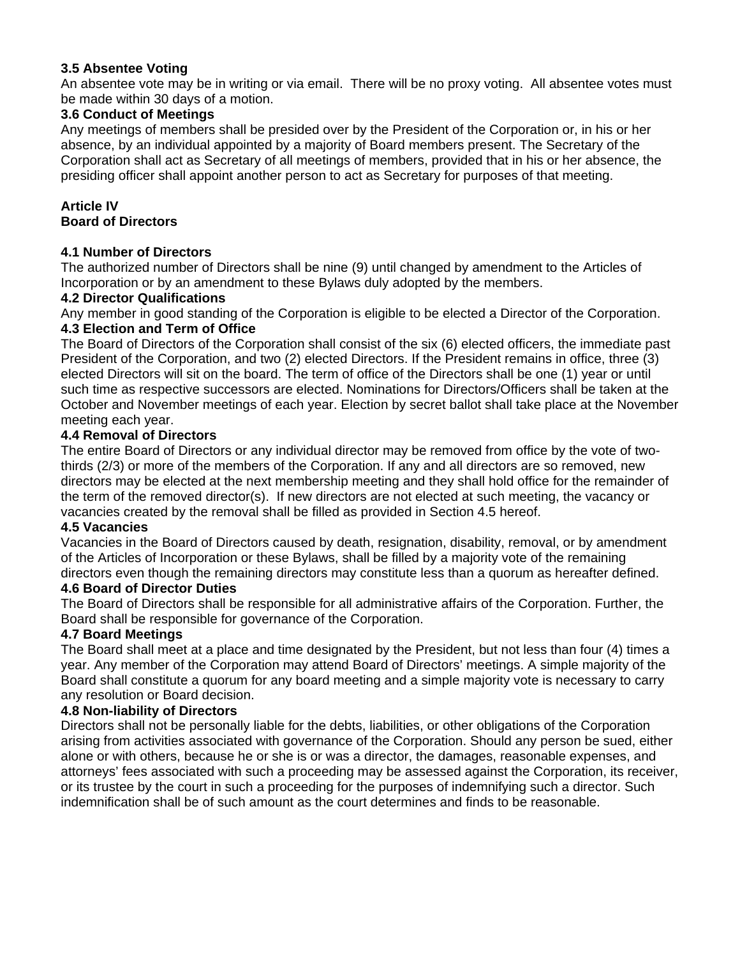## **3.5 Absentee Voting**

An absentee vote may be in writing or via email. There will be no proxy voting. All absentee votes must be made within 30 days of a motion.

## **3.6 Conduct of Meetings**

Any meetings of members shall be presided over by the President of the Corporation or, in his or her absence, by an individual appointed by a majority of Board members present. The Secretary of the Corporation shall act as Secretary of all meetings of members, provided that in his or her absence, the presiding officer shall appoint another person to act as Secretary for purposes of that meeting.

## **Article IV Board of Directors**

## **4.1 Number of Directors**

The authorized number of Directors shall be nine (9) until changed by amendment to the Articles of Incorporation or by an amendment to these Bylaws duly adopted by the members.

#### **4.2 Director Qualifications**

Any member in good standing of the Corporation is eligible to be elected a Director of the Corporation. **4.3 Election and Term of Office** 

The Board of Directors of the Corporation shall consist of the six (6) elected officers, the immediate past President of the Corporation, and two (2) elected Directors. If the President remains in office, three (3) elected Directors will sit on the board. The term of office of the Directors shall be one (1) year or until such time as respective successors are elected. Nominations for Directors/Officers shall be taken at the October and November meetings of each year. Election by secret ballot shall take place at the November meeting each year.

#### **4.4 Removal of Directors**

The entire Board of Directors or any individual director may be removed from office by the vote of twothirds (2/3) or more of the members of the Corporation. If any and all directors are so removed, new directors may be elected at the next membership meeting and they shall hold office for the remainder of the term of the removed director(s). If new directors are not elected at such meeting, the vacancy or vacancies created by the removal shall be filled as provided in Section 4.5 hereof.

## **4.5 Vacancies**

Vacancies in the Board of Directors caused by death, resignation, disability, removal, or by amendment of the Articles of Incorporation or these Bylaws, shall be filled by a majority vote of the remaining directors even though the remaining directors may constitute less than a quorum as hereafter defined.

## **4.6 Board of Director Duties**

The Board of Directors shall be responsible for all administrative affairs of the Corporation. Further, the Board shall be responsible for governance of the Corporation.

## **4.7 Board Meetings**

The Board shall meet at a place and time designated by the President, but not less than four (4) times a year. Any member of the Corporation may attend Board of Directors' meetings. A simple majority of the Board shall constitute a quorum for any board meeting and a simple majority vote is necessary to carry any resolution or Board decision.

## **4.8 Non-liability of Directors**

Directors shall not be personally liable for the debts, liabilities, or other obligations of the Corporation arising from activities associated with governance of the Corporation. Should any person be sued, either alone or with others, because he or she is or was a director, the damages, reasonable expenses, and attorneys' fees associated with such a proceeding may be assessed against the Corporation, its receiver, or its trustee by the court in such a proceeding for the purposes of indemnifying such a director. Such indemnification shall be of such amount as the court determines and finds to be reasonable.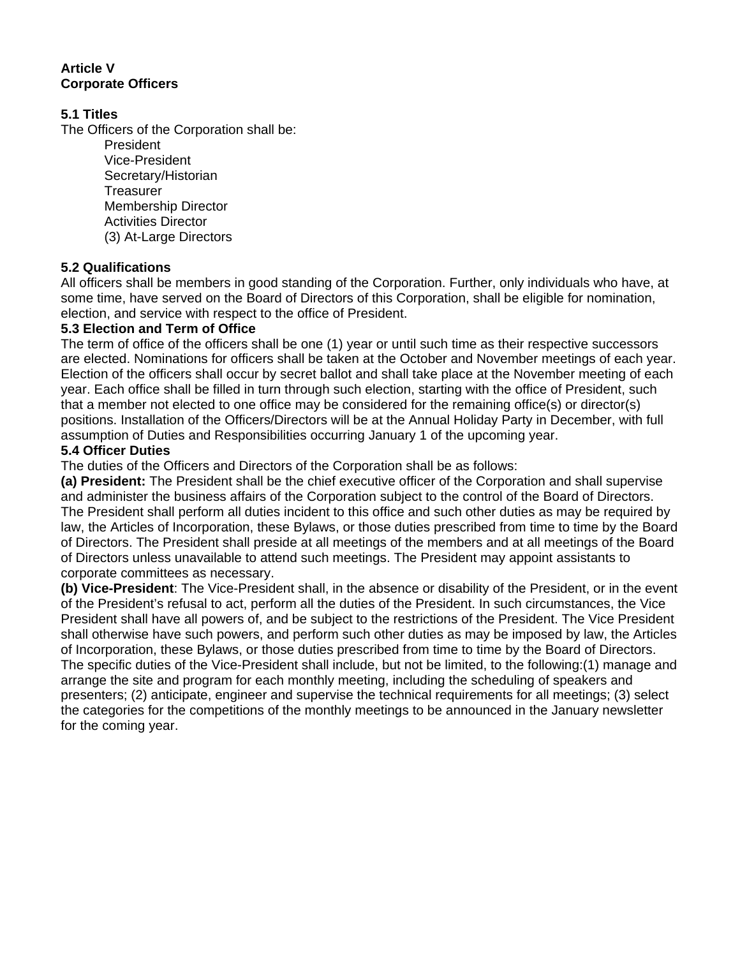# **Article V Corporate Officers**

# **5.1 Titles**

The Officers of the Corporation shall be:

President Vice-President Secretary/Historian **Treasurer** Membership Director Activities Director (3) At-Large Directors

# **5.2 Qualifications**

All officers shall be members in good standing of the Corporation. Further, only individuals who have, at some time, have served on the Board of Directors of this Corporation, shall be eligible for nomination, election, and service with respect to the office of President.

## **5.3 Election and Term of Office**

The term of office of the officers shall be one (1) year or until such time as their respective successors are elected. Nominations for officers shall be taken at the October and November meetings of each year. Election of the officers shall occur by secret ballot and shall take place at the November meeting of each year. Each office shall be filled in turn through such election, starting with the office of President, such that a member not elected to one office may be considered for the remaining office(s) or director(s) positions. Installation of the Officers/Directors will be at the Annual Holiday Party in December, with full assumption of Duties and Responsibilities occurring January 1 of the upcoming year.

# **5.4 Officer Duties**

The duties of the Officers and Directors of the Corporation shall be as follows:

**(a) President:** The President shall be the chief executive officer of the Corporation and shall supervise and administer the business affairs of the Corporation subject to the control of the Board of Directors. The President shall perform all duties incident to this office and such other duties as may be required by law, the Articles of Incorporation, these Bylaws, or those duties prescribed from time to time by the Board of Directors. The President shall preside at all meetings of the members and at all meetings of the Board of Directors unless unavailable to attend such meetings. The President may appoint assistants to corporate committees as necessary.

**(b) Vice-President**: The Vice-President shall, in the absence or disability of the President, or in the event of the President's refusal to act, perform all the duties of the President. In such circumstances, the Vice President shall have all powers of, and be subject to the restrictions of the President. The Vice President shall otherwise have such powers, and perform such other duties as may be imposed by law, the Articles of Incorporation, these Bylaws, or those duties prescribed from time to time by the Board of Directors. The specific duties of the Vice-President shall include, but not be limited, to the following:(1) manage and arrange the site and program for each monthly meeting, including the scheduling of speakers and presenters; (2) anticipate, engineer and supervise the technical requirements for all meetings; (3) select the categories for the competitions of the monthly meetings to be announced in the January newsletter for the coming year.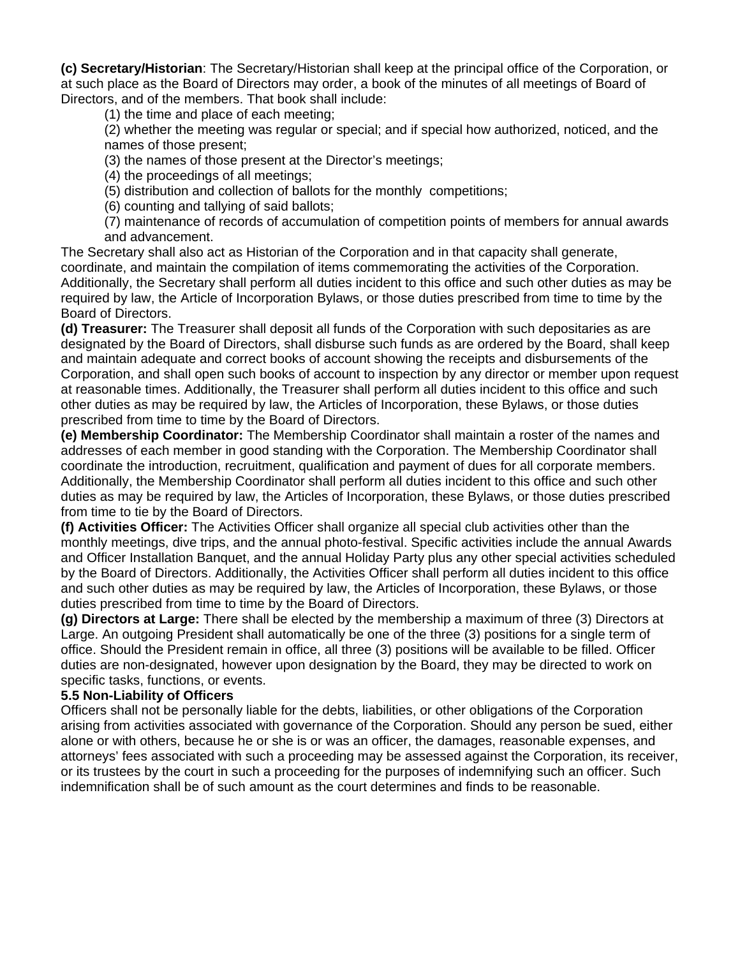**(c) Secretary/Historian**: The Secretary/Historian shall keep at the principal office of the Corporation, or at such place as the Board of Directors may order, a book of the minutes of all meetings of Board of Directors, and of the members. That book shall include:

(1) the time and place of each meeting;

(2) whether the meeting was regular or special; and if special how authorized, noticed, and the names of those present;

(3) the names of those present at the Director's meetings;

(4) the proceedings of all meetings;

(5) distribution and collection of ballots for the monthly competitions;

(6) counting and tallying of said ballots;

(7) maintenance of records of accumulation of competition points of members for annual awards and advancement.

The Secretary shall also act as Historian of the Corporation and in that capacity shall generate, coordinate, and maintain the compilation of items commemorating the activities of the Corporation. Additionally, the Secretary shall perform all duties incident to this office and such other duties as may be required by law, the Article of Incorporation Bylaws, or those duties prescribed from time to time by the Board of Directors.

**(d) Treasurer:** The Treasurer shall deposit all funds of the Corporation with such depositaries as are designated by the Board of Directors, shall disburse such funds as are ordered by the Board, shall keep and maintain adequate and correct books of account showing the receipts and disbursements of the Corporation, and shall open such books of account to inspection by any director or member upon request at reasonable times. Additionally, the Treasurer shall perform all duties incident to this office and such other duties as may be required by law, the Articles of Incorporation, these Bylaws, or those duties prescribed from time to time by the Board of Directors.

**(e) Membership Coordinator:** The Membership Coordinator shall maintain a roster of the names and addresses of each member in good standing with the Corporation. The Membership Coordinator shall coordinate the introduction, recruitment, qualification and payment of dues for all corporate members. Additionally, the Membership Coordinator shall perform all duties incident to this office and such other duties as may be required by law, the Articles of Incorporation, these Bylaws, or those duties prescribed from time to tie by the Board of Directors.

**(f) Activities Officer:** The Activities Officer shall organize all special club activities other than the monthly meetings, dive trips, and the annual photo-festival. Specific activities include the annual Awards and Officer Installation Banquet, and the annual Holiday Party plus any other special activities scheduled by the Board of Directors. Additionally, the Activities Officer shall perform all duties incident to this office and such other duties as may be required by law, the Articles of Incorporation, these Bylaws, or those duties prescribed from time to time by the Board of Directors.

**(g) Directors at Large:** There shall be elected by the membership a maximum of three (3) Directors at Large. An outgoing President shall automatically be one of the three (3) positions for a single term of office. Should the President remain in office, all three (3) positions will be available to be filled. Officer duties are non-designated, however upon designation by the Board, they may be directed to work on specific tasks, functions, or events.

## **5.5 Non-Liability of Officers**

Officers shall not be personally liable for the debts, liabilities, or other obligations of the Corporation arising from activities associated with governance of the Corporation. Should any person be sued, either alone or with others, because he or she is or was an officer, the damages, reasonable expenses, and attorneys' fees associated with such a proceeding may be assessed against the Corporation, its receiver, or its trustees by the court in such a proceeding for the purposes of indemnifying such an officer. Such indemnification shall be of such amount as the court determines and finds to be reasonable.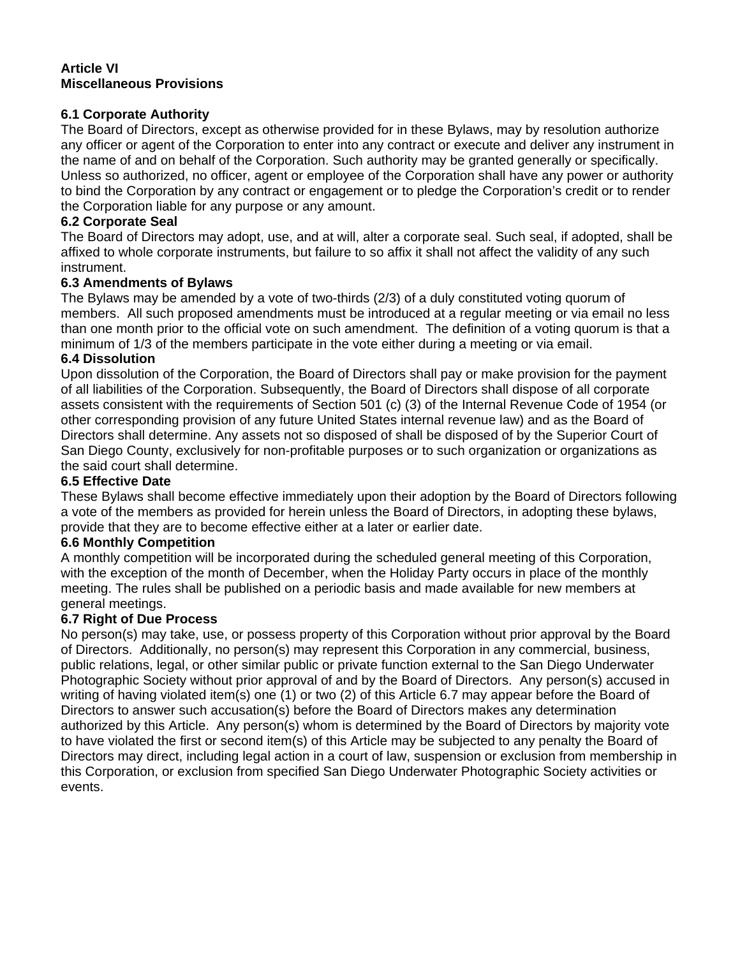#### **Article VI Miscellaneous Provisions**

## **6.1 Corporate Authority**

The Board of Directors, except as otherwise provided for in these Bylaws, may by resolution authorize any officer or agent of the Corporation to enter into any contract or execute and deliver any instrument in the name of and on behalf of the Corporation. Such authority may be granted generally or specifically. Unless so authorized, no officer, agent or employee of the Corporation shall have any power or authority to bind the Corporation by any contract or engagement or to pledge the Corporation's credit or to render the Corporation liable for any purpose or any amount.

# **6.2 Corporate Seal**

The Board of Directors may adopt, use, and at will, alter a corporate seal. Such seal, if adopted, shall be affixed to whole corporate instruments, but failure to so affix it shall not affect the validity of any such instrument.

# **6.3 Amendments of Bylaws**

The Bylaws may be amended by a vote of two-thirds (2/3) of a duly constituted voting quorum of members. All such proposed amendments must be introduced at a regular meeting or via email no less than one month prior to the official vote on such amendment. The definition of a voting quorum is that a minimum of 1/3 of the members participate in the vote either during a meeting or via email.

## **6.4 Dissolution**

Upon dissolution of the Corporation, the Board of Directors shall pay or make provision for the payment of all liabilities of the Corporation. Subsequently, the Board of Directors shall dispose of all corporate assets consistent with the requirements of Section 501 (c) (3) of the Internal Revenue Code of 1954 (or other corresponding provision of any future United States internal revenue law) and as the Board of Directors shall determine. Any assets not so disposed of shall be disposed of by the Superior Court of San Diego County, exclusively for non-profitable purposes or to such organization or organizations as the said court shall determine.

## **6.5 Effective Date**

These Bylaws shall become effective immediately upon their adoption by the Board of Directors following a vote of the members as provided for herein unless the Board of Directors, in adopting these bylaws, provide that they are to become effective either at a later or earlier date.

## **6.6 Monthly Competition**

A monthly competition will be incorporated during the scheduled general meeting of this Corporation, with the exception of the month of December, when the Holiday Party occurs in place of the monthly meeting. The rules shall be published on a periodic basis and made available for new members at general meetings.

## **6.7 Right of Due Process**

No person(s) may take, use, or possess property of this Corporation without prior approval by the Board of Directors. Additionally, no person(s) may represent this Corporation in any commercial, business, public relations, legal, or other similar public or private function external to the San Diego Underwater Photographic Society without prior approval of and by the Board of Directors. Any person(s) accused in writing of having violated item(s) one (1) or two (2) of this Article 6.7 may appear before the Board of Directors to answer such accusation(s) before the Board of Directors makes any determination authorized by this Article. Any person(s) whom is determined by the Board of Directors by majority vote to have violated the first or second item(s) of this Article may be subjected to any penalty the Board of Directors may direct, including legal action in a court of law, suspension or exclusion from membership in this Corporation, or exclusion from specified San Diego Underwater Photographic Society activities or events.